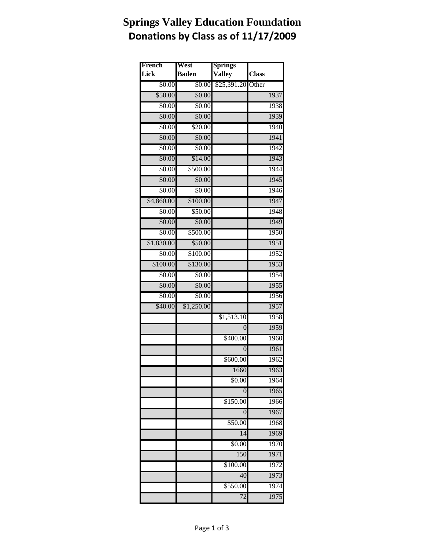## **Springs Valley Education Foundation Donations by Class as of 11/17/2009**

| French     | West         | <b>Springs</b> |              |
|------------|--------------|----------------|--------------|
| Lick       | <b>Baden</b> | <b>Valley</b>  | <b>Class</b> |
| \$0.00     | \$0.00       | \$25,391.20    | Other        |
| \$50.00    | \$0.00       |                | 1937         |
| \$0.00     | \$0.00       |                | 1938         |
| \$0.00     | \$0.00       |                | 1939         |
| \$0.00     | \$20.00      |                | 1940         |
| \$0.00     | \$0.00       |                | 1941         |
| \$0.00     | \$0.00       |                | 1942         |
| \$0.00     | \$14.00      |                | 1943         |
| \$0.00     | \$500.00     |                | 1944         |
| \$0.00     | \$0.00       |                | 1945         |
| \$0.00     | \$0.00       |                | 1946         |
| \$4,860.00 | \$100.00     |                | 1947         |
| \$0.00     | \$50.00      |                | 1948         |
| \$0.00     | \$0.00       |                | 1949         |
| \$0.00     | \$500.00     |                | 1950         |
| \$1,830.00 | \$50.00      |                | 1951         |
| \$0.00     | \$100.00     |                | 1952         |
| \$100.00   | \$130.00     |                | 1953         |
| \$0.00     | \$0.00       |                | 1954         |
| \$0.00     | \$0.00       |                | 1955         |
| \$0.00     | \$0.00       |                | 1956         |
| \$40.00    | \$1,250.00   |                | 1957         |
|            |              | \$1,513.10     | 1958         |
|            |              | $\theta$       | 1959         |
|            |              | \$400.00       | 1960         |
|            |              | $\overline{0}$ | 1961         |
|            |              | \$600.00       | 1962         |
|            |              | 1660           | 1963         |
|            |              | \$0.00         | 1964         |
|            |              | $\overline{0}$ | 1965         |
|            |              | \$150.00       | 1966         |
|            |              | 0              | 1967         |
|            |              | \$50.00        | 1968         |
|            |              | 14             | 1969         |
|            |              | \$0.00         | 1970         |
|            |              | 150            | 1971         |
|            |              | \$100.00       | 1972         |
|            |              | 40             | 1973         |
|            |              | \$550.00       | 1974         |
|            |              | 72             | 1975         |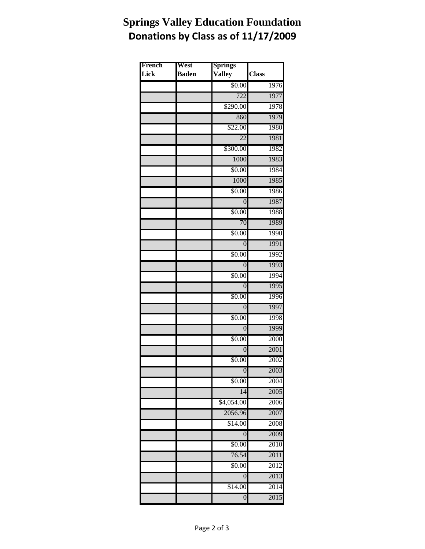## **Springs Valley Education Foundation Donations by Class as of 11/17/2009**

| French | West         | <b>Springs</b>   |              |
|--------|--------------|------------------|--------------|
| Lick   | <b>Baden</b> | <b>Valley</b>    | <b>Class</b> |
|        |              | \$0.00           | 1976         |
|        |              | 722              | 1977         |
|        |              | \$290.00         | 1978         |
|        |              | 860              | 1979         |
|        |              | \$22.00          | 1980         |
|        |              | $\overline{22}$  | 1981         |
|        |              | \$300.00         | 1982         |
|        |              | 1000             | 1983         |
|        |              | \$0.00           | 1984         |
|        |              | 1000             | 1985         |
|        |              | \$0.00           | 1986         |
|        |              | $\boldsymbol{0}$ | 1987         |
|        |              | \$0.00           | 1988         |
|        |              | 70               | 1989         |
|        |              | \$0.00           | 1990         |
|        |              | $\overline{0}$   | 1991         |
|        |              | \$0.00           | 1992         |
|        |              | $\Omega$         | 1993         |
|        |              | \$0.00           | 1994         |
|        |              | $\overline{0}$   | 1995         |
|        |              | \$0.00           | 1996         |
|        |              | $\overline{0}$   | 1997         |
|        |              | \$0.00           | 1998         |
|        |              | $\overline{0}$   | 1999         |
|        |              | \$0.00           | 2000         |
|        |              | $\overline{0}$   | 2001         |
|        |              | \$0.00           | 2002         |
|        |              | $\overline{0}$   | 2003         |
|        |              | \$0.00           | 2004         |
|        |              | 14               | 2005         |
|        |              | \$4,054.00       | 2006         |
|        |              | 2056.96          | 2007         |
|        |              | \$14.00          | 2008         |
|        |              | 0                | 2009         |
|        |              | \$0.00           | 2010         |
|        |              | 76.54            | 2011         |
|        |              | \$0.00           | 2012         |
|        |              | $\boldsymbol{0}$ | 2013         |
|        |              | \$14.00          | 2014         |
|        |              | $\overline{0}$   | 2015         |